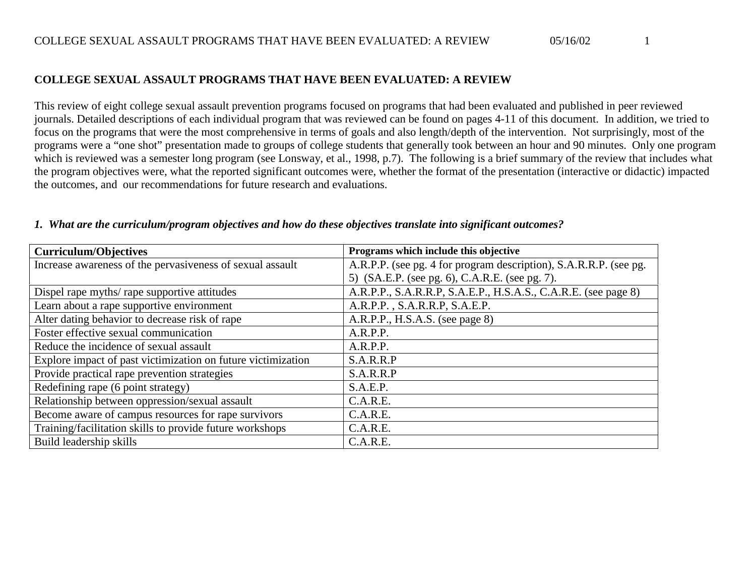This review of eight college sexual assault prevention programs focused on programs that had been evaluated and published in peer reviewed journals. Detailed descriptions of each individual program that was reviewed can be found on pages 4-11 of this document. In addition, we tried to focus on the programs that were the most comprehensive in terms of goals and also length/depth of the intervention. Not surprisingly, most of the programs were a "one shot" presentation made to groups of college students that generally took between an hour and 90 minutes. Only one program which is reviewed was a semester long program (see Lonsway, et al., 1998, p.7). The following is a brief summary of the review that includes what the program objectives were, what the reported significant outcomes were, whether the format of the presentation (interactive or didactic) impacted the outcomes, and our recommendations for future research and evaluations.

| <b>Curriculum/Objectives</b>                                 | Programs which include this objective                             |
|--------------------------------------------------------------|-------------------------------------------------------------------|
| Increase awareness of the pervasiveness of sexual assault    | A.R.P.P. (see pg. 4 for program description), S.A.R.R.P. (see pg. |
|                                                              | 5) (SA.E.P. (see pg. 6), C.A.R.E. (see pg. 7).                    |
| Dispel rape myths/ rape supportive attitudes                 | A.R.P.P., S.A.R.R.P, S.A.E.P., H.S.A.S., C.A.R.E. (see page 8)    |
| Learn about a rape supportive environment                    | A.R.P.P., S.A.R.R.P, S.A.E.P.                                     |
| Alter dating behavior to decrease risk of rape               | A.R.P.P., H.S.A.S. (see page 8)                                   |
| Foster effective sexual communication                        | A.R.P.P.                                                          |
| Reduce the incidence of sexual assault                       | A.R.P.P.                                                          |
| Explore impact of past victimization on future victimization | S.A.R.R.P                                                         |
| Provide practical rape prevention strategies                 | S.A.R.R.P                                                         |
| Redefining rape (6 point strategy)                           | S.A.E.P.                                                          |
| Relationship between oppression/sexual assault               | C.A.R.E.                                                          |
| Become aware of campus resources for rape survivors          | C.A.R.E.                                                          |
| Training/facilitation skills to provide future workshops     | C.A.R.E.                                                          |
| Build leadership skills                                      | C.A.R.E.                                                          |

#### *1. What are the curriculum/program objectives and how do these objectives translate into significant outcomes?*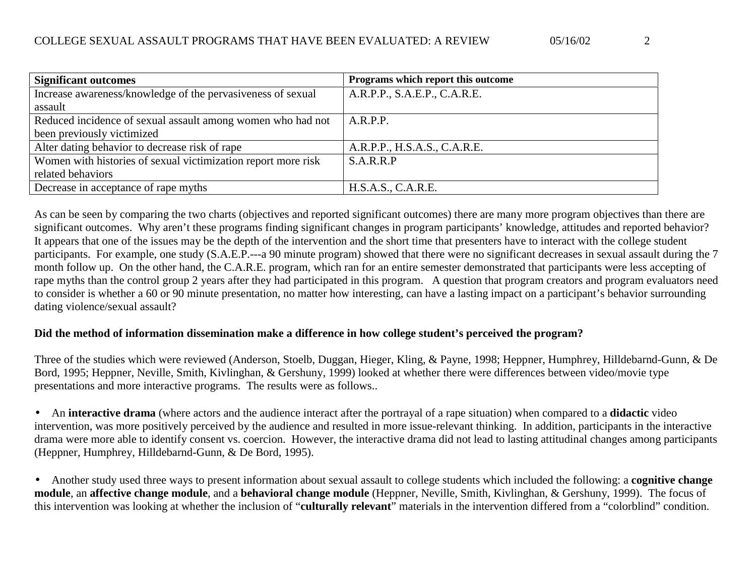| <b>Significant outcomes</b>                                   | Programs which report this outcome |
|---------------------------------------------------------------|------------------------------------|
| Increase awareness/knowledge of the pervasiveness of sexual   | A.R.P.P., S.A.E.P., C.A.R.E.       |
| assault                                                       |                                    |
| Reduced incidence of sexual assault among women who had not   | A.R.P.P.                           |
| been previously victimized                                    |                                    |
| Alter dating behavior to decrease risk of rape                | A.R.P.P., H.S.A.S., C.A.R.E.       |
| Women with histories of sexual victimization report more risk | S.A.R.R.P                          |
| related behaviors                                             |                                    |
| Decrease in acceptance of rape myths                          | H.S.A.S., C.A.R.E.                 |

As can be seen by comparing the two charts (objectives and reported significant outcomes) there are many more program objectives than there are significant outcomes. Why aren't these programs finding significant changes in program participants' knowledge, attitudes and reported behavior? It appears that one of the issues may be the depth of the intervention and the short time that presenters have to interact with the college student participants. For example, one study (S.A.E.P.—a 90 minute program) showed that there were no significant decreases in sexual assault during the 7 month follow up. On the other hand, the C.A.R.E. program, which ran for an entire semester demonstrated that participants were less accepting of rape myths than the control group 2 years after they had participated in this program. A question that program creators and program evaluators need to consider is whether a 60 or 90 minute presentation, no matter how interesting, can have a lasting impact on a participant's behavior surrounding dating violence/sexual assault?

#### **Did the method of information dissemination make a difference in how college student's perceived the program?**

Three of the studies which were reviewed (Anderson, Stoelb, Duggan, Hieger, Kling, & Payne, 1998; Heppner, Humphrey, Hilldebarnd-Gunn, & De Bord, 1995; Heppner, Neville, Smith, Kivlinghan, & Gershuny, 1999) looked at whether there were differences between video/movie type presentations and more interactive programs. The results were as follows..

• An **interactive drama** (where actors and the audience interact after the portrayal of a rape situation) when compared to a **didactic** video intervention, was more positively perceived by the audience and resulted in more issue-relevant thinking. In addition, participants in the interactive drama were more able to identify consent vs. coercion. However, the interactive drama did not lead to lasting attitudinal changes among participants (Heppner, Humphrey, Hilldebarnd-Gunn, & De Bord, 1995).

• Another study used three ways to present information about sexual assault to college students which included the following: a **cognitive change module**, an **affective change module**, and a **behavioral change module** (Heppner, Neville, Smith, Kivlinghan, & Gershuny, 1999). The focus of this intervention was looking at whether the inclusion of "**culturally relevant**" materials in the intervention differed from a "colorblind" condition.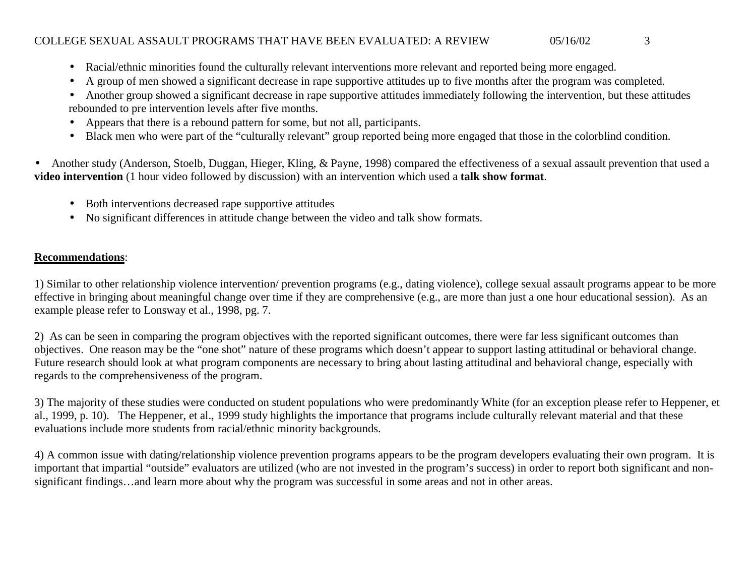- Racial/ethnic minorities found the culturally relevant interventions more relevant and reported being more engaged.
- •A group of men showed a significant decrease in rape supportive attitudes up to five months after the program was completed.
- • Another group showed a significant decrease in rape supportive attitudes immediately following the intervention, but these attitudes rebounded to pre intervention levels after five months.
- •Appears that there is a rebound pattern for some, but not all, participants.
- Black men who were part of the "culturally relevant" group reported being more engaged that those in the colorblind condition.

• Another study (Anderson, Stoelb, Duggan, Hieger, Kling, & Payne, 1998) compared the effectiveness of a sexual assault prevention that used a **video intervention** (1 hour video followed by discussion) with an intervention which used a **talk show format**.

- Both interventions decreased rape supportive attitudes
- No significant differences in attitude change between the video and talk show formats.

#### **Recommendations**:

1) Similar to other relationship violence intervention/ prevention programs (e.g., dating violence), college sexual assault programs appear to be more effective in bringing about meaningful change over time if they are comprehensive (e.g., are more than just a one hour educational session). As an example please refer to Lonsway et al., 1998, pg. 7.

2) As can be seen in comparing the program objectives with the reported significant outcomes, there were far less significant outcomes than objectives. One reason may be the "one shot" nature of these programs which doesn't appear to support lasting attitudinal or behavioral change. Future research should look at what program components are necessary to bring about lasting attitudinal and behavioral change, especially with regards to the comprehensiveness of the program.

3) The majority of these studies were conducted on student populations who were predominantly White (for an exception please refer to Heppener, et al., 1999, p. 10). The Heppener, et al., 1999 study highlights the importance that programs include culturally relevant material and that these evaluations include more students from racial/ethnic minority backgrounds.

4) A common issue with dating/relationship violence prevention programs appears to be the program developers evaluating their own program. It is important that impartial "outside" evaluators are utilized (who are not invested in the program's success) in order to report both significant and nonsignificant findings…and learn more about why the program was successful in some areas and not in other areas.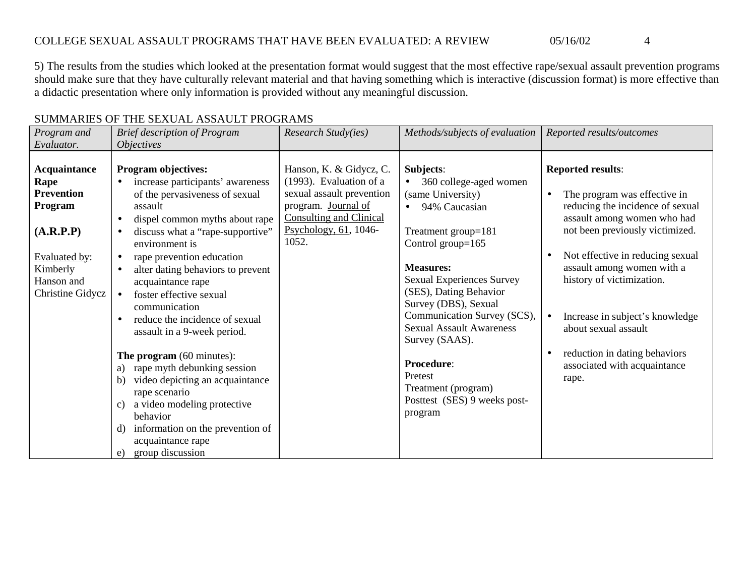5) The results from the studies which looked at the presentation format would suggest that the most effective rape/sexual assault prevention programs should make sure that they have culturally relevant material and that having something which is interactive (discussion format) is more effective than a didactic presentation where only information is provided without any meaningful discussion.

| Program and                                                                                                                             | <b>Brief description of Program</b>                                                                                                                                                                                                                                                                                                                                                                                                                                                                                                                                                                                                                                                                                            | Research Study(ies)                                                                                                                                                           | Methods/subjects of evaluation                                                                                                                                                                                                                                                                                                                                                                                 | Reported results/outcomes                                                                                                                                                                                                                                                                                                                                                                                       |
|-----------------------------------------------------------------------------------------------------------------------------------------|--------------------------------------------------------------------------------------------------------------------------------------------------------------------------------------------------------------------------------------------------------------------------------------------------------------------------------------------------------------------------------------------------------------------------------------------------------------------------------------------------------------------------------------------------------------------------------------------------------------------------------------------------------------------------------------------------------------------------------|-------------------------------------------------------------------------------------------------------------------------------------------------------------------------------|----------------------------------------------------------------------------------------------------------------------------------------------------------------------------------------------------------------------------------------------------------------------------------------------------------------------------------------------------------------------------------------------------------------|-----------------------------------------------------------------------------------------------------------------------------------------------------------------------------------------------------------------------------------------------------------------------------------------------------------------------------------------------------------------------------------------------------------------|
| Evaluator.                                                                                                                              | <i><b>Objectives</b></i>                                                                                                                                                                                                                                                                                                                                                                                                                                                                                                                                                                                                                                                                                                       |                                                                                                                                                                               |                                                                                                                                                                                                                                                                                                                                                                                                                |                                                                                                                                                                                                                                                                                                                                                                                                                 |
| Acquaintance<br>Rape<br><b>Prevention</b><br>Program<br>(A.R.P.P)<br>Evaluated by:<br>Kimberly<br>Hanson and<br><b>Christine Gidycz</b> | <b>Program objectives:</b><br>increase participants' awareness<br>of the pervasiveness of sexual<br>assault<br>dispel common myths about rape<br>$\bullet$<br>discuss what a "rape-supportive"<br>$\bullet$<br>environment is<br>rape prevention education<br>$\bullet$<br>alter dating behaviors to prevent<br>acquaintance rape<br>foster effective sexual<br>communication<br>reduce the incidence of sexual<br>$\bullet$<br>assault in a 9-week period.<br>The program (60 minutes):<br>a) rape myth debunking session<br>video depicting an acquaintance<br>b)<br>rape scenario<br>a video modeling protective<br>C)<br>behavior<br>information on the prevention of<br>d)<br>acquaintance rape<br>group discussion<br>e) | Hanson, K. & Gidycz, C.<br>(1993). Evaluation of a<br>sexual assault prevention<br>program. Journal of<br><b>Consulting and Clinical</b><br>Psychology, $61$ , 1046-<br>1052. | Subjects:<br>360 college-aged women<br>(same University)<br>94% Caucasian<br>Treatment group=181<br>Control group=165<br><b>Measures:</b><br><b>Sexual Experiences Survey</b><br>(SES), Dating Behavior<br>Survey (DBS), Sexual<br>Communication Survey (SCS),<br><b>Sexual Assault Awareness</b><br>Survey (SAAS).<br>Procedure:<br>Pretest<br>Treatment (program)<br>Posttest (SES) 9 weeks post-<br>program | <b>Reported results:</b><br>The program was effective in<br>$\bullet$<br>reducing the incidence of sexual<br>assault among women who had<br>not been previously victimized.<br>Not effective in reducing sexual<br>assault among women with a<br>history of victimization.<br>Increase in subject's knowledge<br>about sexual assault<br>reduction in dating behaviors<br>associated with acquaintance<br>rape. |

#### SUMMARIES OF THE SEXUAL ASSAULT PROGRAMS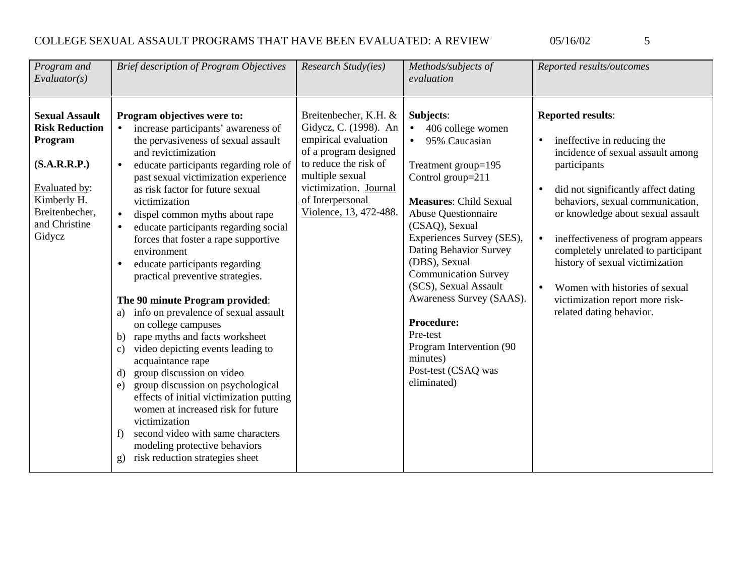$\overline{5}$ 

| Program and<br>Evaluator(s)                                                                                                                            | <b>Brief description of Program Objectives</b>                                                                                                                                                                                                                                                                                                                                                                                                                                                                                                                                                                                                                                                                                                                                                                                                                                                                                                                                                                                                         | Research Study(ies)                                                                                                                                                                                                 | Methods/subjects of<br>evaluation                                                                                                                                                                                                                                                                                                                                                                                                                                    | Reported results/outcomes                                                                                                                                                                                                                                                                                                                                                                                                                     |
|--------------------------------------------------------------------------------------------------------------------------------------------------------|--------------------------------------------------------------------------------------------------------------------------------------------------------------------------------------------------------------------------------------------------------------------------------------------------------------------------------------------------------------------------------------------------------------------------------------------------------------------------------------------------------------------------------------------------------------------------------------------------------------------------------------------------------------------------------------------------------------------------------------------------------------------------------------------------------------------------------------------------------------------------------------------------------------------------------------------------------------------------------------------------------------------------------------------------------|---------------------------------------------------------------------------------------------------------------------------------------------------------------------------------------------------------------------|----------------------------------------------------------------------------------------------------------------------------------------------------------------------------------------------------------------------------------------------------------------------------------------------------------------------------------------------------------------------------------------------------------------------------------------------------------------------|-----------------------------------------------------------------------------------------------------------------------------------------------------------------------------------------------------------------------------------------------------------------------------------------------------------------------------------------------------------------------------------------------------------------------------------------------|
| <b>Sexual Assault</b><br><b>Risk Reduction</b><br>Program<br>(S.A.R.R.P.)<br>Evaluated by:<br>Kimberly H.<br>Breitenbecher,<br>and Christine<br>Gidycz | Program objectives were to:<br>increase participants' awareness of<br>$\bullet$<br>the pervasiveness of sexual assault<br>and revictimization<br>educate participants regarding role of<br>$\bullet$<br>past sexual victimization experience<br>as risk factor for future sexual<br>victimization<br>dispel common myths about rape<br>$\bullet$<br>educate participants regarding social<br>forces that foster a rape supportive<br>environment<br>educate participants regarding<br>$\bullet$<br>practical preventive strategies.<br>The 90 minute Program provided:<br>a) info on prevalence of sexual assault<br>on college campuses<br>b) rape myths and facts worksheet<br>c) video depicting events leading to<br>acquaintance rape<br>group discussion on video<br>$\mathbf{d}$<br>group discussion on psychological<br>e)<br>effects of initial victimization putting<br>women at increased risk for future<br>victimization<br>second video with same characters<br>f<br>modeling protective behaviors<br>g) risk reduction strategies sheet | Breitenbecher, K.H. &<br>Gidycz, C. (1998). An<br>empirical evaluation<br>of a program designed<br>to reduce the risk of<br>multiple sexual<br>victimization. Journal<br>of Interpersonal<br>Violence, 13, 472-488. | Subjects:<br>406 college women<br>$\bullet$<br>95% Caucasian<br>Treatment group=195<br>Control group=211<br><b>Measures: Child Sexual</b><br><b>Abuse Questionnaire</b><br>(CSAQ), Sexual<br>Experiences Survey (SES),<br>Dating Behavior Survey<br>(DBS), Sexual<br><b>Communication Survey</b><br>(SCS), Sexual Assault<br>Awareness Survey (SAAS).<br><b>Procedure:</b><br>Pre-test<br>Program Intervention (90<br>minutes)<br>Post-test (CSAQ was<br>eliminated) | <b>Reported results:</b><br>ineffective in reducing the<br>incidence of sexual assault among<br>participants<br>did not significantly affect dating<br>behaviors, sexual communication,<br>or knowledge about sexual assault<br>ineffectiveness of program appears<br>completely unrelated to participant<br>history of sexual victimization<br>Women with histories of sexual<br>victimization report more risk-<br>related dating behavior. |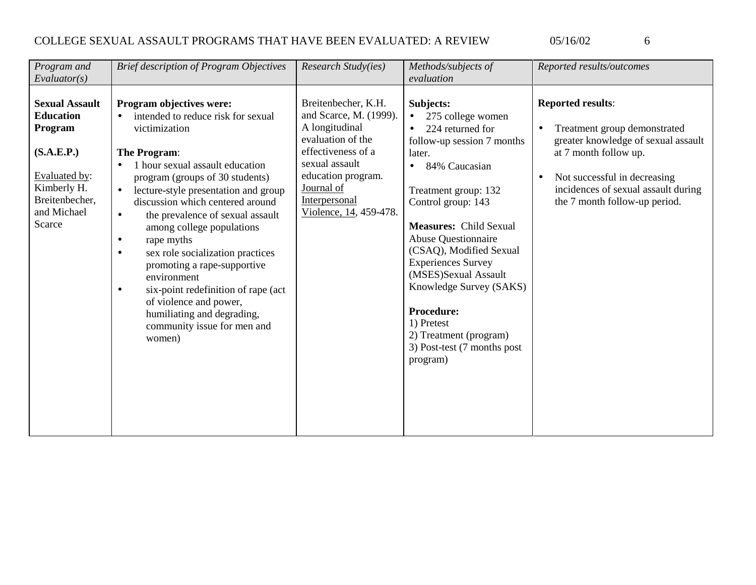| Program and                                                                                                                                                   | <b>Brief description of Program Objectives</b>                                                                                                                                                                                                                                                                                                                                                                                                                                                                                                                                                                                                        | Research Study(ies)                                                                                                                                                                                         | Methods/subjects of                                                                                                                                                                                                                                                                                                                                                                                                                                                                 | Reported results/outcomes                                                                                                                                                                                                        |
|---------------------------------------------------------------------------------------------------------------------------------------------------------------|-------------------------------------------------------------------------------------------------------------------------------------------------------------------------------------------------------------------------------------------------------------------------------------------------------------------------------------------------------------------------------------------------------------------------------------------------------------------------------------------------------------------------------------------------------------------------------------------------------------------------------------------------------|-------------------------------------------------------------------------------------------------------------------------------------------------------------------------------------------------------------|-------------------------------------------------------------------------------------------------------------------------------------------------------------------------------------------------------------------------------------------------------------------------------------------------------------------------------------------------------------------------------------------------------------------------------------------------------------------------------------|----------------------------------------------------------------------------------------------------------------------------------------------------------------------------------------------------------------------------------|
| Evaluator(s)<br><b>Sexual Assault</b><br><b>Education</b><br>Program<br>(S.A.E.P.)<br>Evaluated by:<br>Kimberly H.<br>Breitenbecher,<br>and Michael<br>Scarce | Program objectives were:<br>intended to reduce risk for sexual<br>$\bullet$<br>victimization<br>The Program:<br>1 hour sexual assault education<br>$\bullet$<br>program (groups of 30 students)<br>lecture-style presentation and group<br>$\bullet$<br>discussion which centered around<br>the prevalence of sexual assault<br>$\bullet$<br>among college populations<br>rape myths<br>$\bullet$<br>sex role socialization practices<br>$\bullet$<br>promoting a rape-supportive<br>environment<br>six-point redefinition of rape (act<br>$\bullet$<br>of violence and power,<br>humiliating and degrading,<br>community issue for men and<br>women) | Breitenbecher, K.H.<br>and Scarce, M. (1999).<br>A longitudinal<br>evaluation of the<br>effectiveness of a<br>sexual assault<br>education program.<br>Journal of<br>Interpersonal<br>Violence, 14, 459-478. | evaluation<br>Subjects:<br>275 college women<br>$\bullet$<br>224 returned for<br>follow-up session 7 months<br>later.<br>84% Caucasian<br>$\bullet$<br>Treatment group: 132<br>Control group: 143<br><b>Measures: Child Sexual</b><br><b>Abuse Questionnaire</b><br>(CSAQ), Modified Sexual<br><b>Experiences Survey</b><br>(MSES)Sexual Assault<br>Knowledge Survey (SAKS)<br><b>Procedure:</b><br>1) Pretest<br>2) Treatment (program)<br>3) Post-test (7 months post<br>program) | <b>Reported results:</b><br>Treatment group demonstrated<br>greater knowledge of sexual assault<br>at 7 month follow up.<br>Not successful in decreasing<br>incidences of sexual assault during<br>the 7 month follow-up period. |
|                                                                                                                                                               |                                                                                                                                                                                                                                                                                                                                                                                                                                                                                                                                                                                                                                                       |                                                                                                                                                                                                             |                                                                                                                                                                                                                                                                                                                                                                                                                                                                                     |                                                                                                                                                                                                                                  |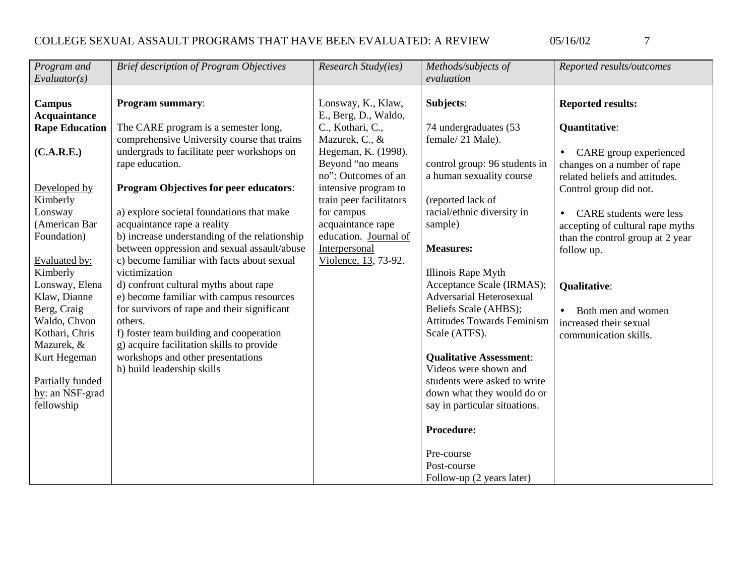| Program and<br>Evaluator(s) | <b>Brief description of Program Objectives</b>                  | Research Study(ies)     | Methods/subjects of<br>evaluation                       | Reported results/outcomes        |
|-----------------------------|-----------------------------------------------------------------|-------------------------|---------------------------------------------------------|----------------------------------|
|                             |                                                                 |                         |                                                         |                                  |
| Campus                      | Program summary:                                                | Lonsway, K., Klaw,      | Subjects:                                               | <b>Reported results:</b>         |
| <b>Acquaintance</b>         |                                                                 | E., Berg, D., Waldo,    |                                                         |                                  |
| <b>Rape Education</b>       | The CARE program is a semester long,                            | C., Kothari, C.,        | 74 undergraduates (53                                   | Quantitative:                    |
|                             | comprehensive University course that trains                     | Mazurek, C., &          | female/21 Male).                                        |                                  |
| (C.A.R.E.)                  | undergrads to facilitate peer workshops on                      | Hegeman, K. (1998).     |                                                         | CARE group experienced           |
|                             | rape education.                                                 | Beyond "no means        | control group: 96 students in                           | changes on a number of rape      |
|                             |                                                                 | no": Outcomes of an     | a human sexuality course                                | related beliefs and attitudes.   |
| Developed by                | <b>Program Objectives for peer educators:</b>                   | intensive program to    |                                                         | Control group did not.           |
| Kimberly                    |                                                                 | train peer facilitators | (reported lack of                                       |                                  |
| Lonsway                     | a) explore societal foundations that make                       | for campus              | racial/ethnic diversity in                              | <b>CARE</b> students were less   |
| (American Bar               | acquaintance rape a reality                                     | acquaintance rape       | sample)                                                 | accepting of cultural rape myths |
| Foundation)                 | b) increase understanding of the relationship                   | education. Journal of   |                                                         | than the control group at 2 year |
|                             | between oppression and sexual assault/abuse                     | Interpersonal           | <b>Measures:</b>                                        | follow up.                       |
| Evaluated by:               | c) become familiar with facts about sexual                      | Violence, 13, 73-92.    |                                                         |                                  |
| Kimberly                    | victimization                                                   |                         | Illinois Rape Myth                                      |                                  |
| Lonsway, Elena              | d) confront cultural myths about rape                           |                         | Acceptance Scale (IRMAS);                               | <b>Qualitative:</b>              |
| Klaw, Dianne                | e) become familiar with campus resources                        |                         | Adversarial Heterosexual                                |                                  |
| Berg, Craig                 | for survivors of rape and their significant                     |                         | Beliefs Scale (AHBS);                                   | Both men and women               |
| Waldo, Chvon                | others.                                                         |                         | <b>Attitudes Towards Feminism</b>                       | increased their sexual           |
| Kothari, Chris              | f) foster team building and cooperation                         |                         | Scale (ATFS).                                           | communication skills.            |
| Mazurek, &                  | g) acquire facilitation skills to provide                       |                         |                                                         |                                  |
| Kurt Hegeman                | workshops and other presentations<br>h) build leadership skills |                         | <b>Qualitative Assessment:</b><br>Videos were shown and |                                  |
| Partially funded            |                                                                 |                         | students were asked to write                            |                                  |
| by: an NSF-grad             |                                                                 |                         | down what they would do or                              |                                  |
| fellowship                  |                                                                 |                         | say in particular situations.                           |                                  |
|                             |                                                                 |                         |                                                         |                                  |
|                             |                                                                 |                         | <b>Procedure:</b>                                       |                                  |
|                             |                                                                 |                         |                                                         |                                  |
|                             |                                                                 |                         | Pre-course                                              |                                  |
|                             |                                                                 |                         | Post-course                                             |                                  |
|                             |                                                                 |                         | Follow-up (2 years later)                               |                                  |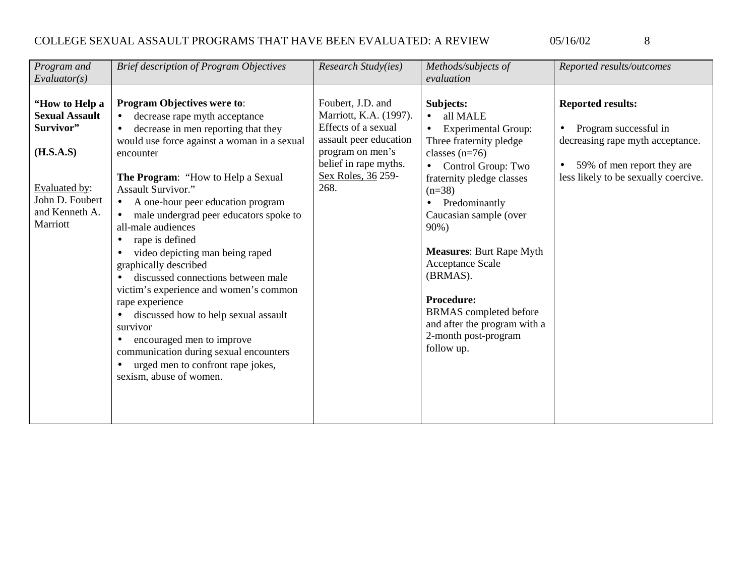| ×<br>٦<br>×<br>۹ |
|------------------|

| Program and<br>Evaluator(s)                                                                                                         | <b>Brief description of Program Objectives</b>                                                                                                                                                                                                                                                                                                                                                                                                                                                                                                                                                                                                                                                                                                                                               | Research Study(ies)                                                                                                                                                     | Methods/subjects of<br>evaluation                                                                                                                                                                                                                                                                                                                                                                                                                                | Reported results/outcomes                                                                                                                                   |
|-------------------------------------------------------------------------------------------------------------------------------------|----------------------------------------------------------------------------------------------------------------------------------------------------------------------------------------------------------------------------------------------------------------------------------------------------------------------------------------------------------------------------------------------------------------------------------------------------------------------------------------------------------------------------------------------------------------------------------------------------------------------------------------------------------------------------------------------------------------------------------------------------------------------------------------------|-------------------------------------------------------------------------------------------------------------------------------------------------------------------------|------------------------------------------------------------------------------------------------------------------------------------------------------------------------------------------------------------------------------------------------------------------------------------------------------------------------------------------------------------------------------------------------------------------------------------------------------------------|-------------------------------------------------------------------------------------------------------------------------------------------------------------|
| "How to Help a<br><b>Sexual Assault</b><br>Survivor"<br>(H.S.A.S)<br>Evaluated by:<br>John D. Foubert<br>and Kenneth A.<br>Marriott | <b>Program Objectives were to:</b><br>decrease rape myth acceptance<br>$\bullet$<br>decrease in men reporting that they<br>$\bullet$<br>would use force against a woman in a sexual<br>encounter<br>The Program: "How to Help a Sexual<br><b>Assault Survivor."</b><br>A one-hour peer education program<br>$\bullet$<br>male undergrad peer educators spoke to<br>all-male audiences<br>rape is defined<br>video depicting man being raped<br>$\bullet$<br>graphically described<br>discussed connections between male<br>victim's experience and women's common<br>rape experience<br>discussed how to help sexual assault<br>survivor<br>encouraged men to improve<br>$\bullet$<br>communication during sexual encounters<br>urged men to confront rape jokes,<br>sexism, abuse of women. | Foubert, J.D. and<br>Marriott, K.A. (1997).<br>Effects of a sexual<br>assault peer education<br>program on men's<br>belief in rape myths.<br>Sex Roles, 36 259-<br>268. | Subjects:<br>all MALE<br>$\bullet$<br><b>Experimental Group:</b><br>$\bullet$<br>Three fraternity pledge<br>classes $(n=76)$<br>Control Group: Two<br>$\bullet$<br>fraternity pledge classes<br>$(n=38)$<br>Predominantly<br>$\bullet$<br>Caucasian sample (over<br>90%)<br><b>Measures: Burt Rape Myth</b><br>Acceptance Scale<br>(BRMAS).<br>Procedure:<br><b>BRMAS</b> completed before<br>and after the program with a<br>2-month post-program<br>follow up. | <b>Reported results:</b><br>Program successful in<br>decreasing rape myth acceptance.<br>59% of men report they are<br>less likely to be sexually coercive. |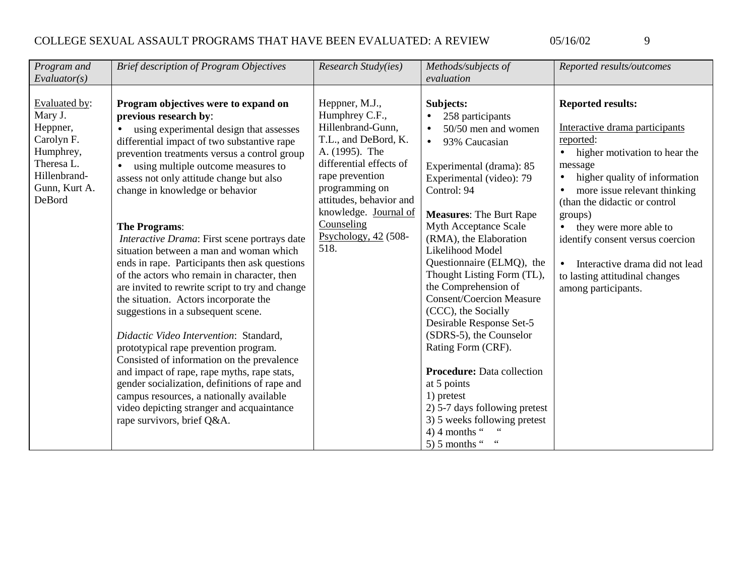| ۰.<br>٦<br>۰. |
|---------------|

| Program and<br>Evaluator(s)                                                                                    | <b>Brief description of Program Objectives</b>                                                                                                                                                                                                                                                                                                                                                                                                                                                                                                                                                                                                                                                            | Research Study(ies)                                                                                                                                             | Methods/subjects of<br>evaluation                                                                                                                                                                                                                                                                                                                                                                                                                                                                        | Reported results/outcomes                                                                                                                                                                                                   |
|----------------------------------------------------------------------------------------------------------------|-----------------------------------------------------------------------------------------------------------------------------------------------------------------------------------------------------------------------------------------------------------------------------------------------------------------------------------------------------------------------------------------------------------------------------------------------------------------------------------------------------------------------------------------------------------------------------------------------------------------------------------------------------------------------------------------------------------|-----------------------------------------------------------------------------------------------------------------------------------------------------------------|----------------------------------------------------------------------------------------------------------------------------------------------------------------------------------------------------------------------------------------------------------------------------------------------------------------------------------------------------------------------------------------------------------------------------------------------------------------------------------------------------------|-----------------------------------------------------------------------------------------------------------------------------------------------------------------------------------------------------------------------------|
|                                                                                                                |                                                                                                                                                                                                                                                                                                                                                                                                                                                                                                                                                                                                                                                                                                           |                                                                                                                                                                 |                                                                                                                                                                                                                                                                                                                                                                                                                                                                                                          |                                                                                                                                                                                                                             |
| Evaluated by:<br>Mary J.<br>Heppner,<br>Carolyn F.<br>Humphrey,<br>Theresa L.<br>Hillenbrand-<br>Gunn, Kurt A. | Program objectives were to expand on<br>previous research by:<br>using experimental design that assesses<br>differential impact of two substantive rape<br>prevention treatments versus a control group<br>using multiple outcome measures to<br>assess not only attitude change but also<br>change in knowledge or behavior                                                                                                                                                                                                                                                                                                                                                                              | Heppner, M.J.,<br>Humphrey C.F.,<br>Hillenbrand-Gunn,<br>T.L., and DeBord, K.<br>A. (1995). The<br>differential effects of<br>rape prevention<br>programming on | Subjects:<br>258 participants<br>$\bullet$<br>50/50 men and women<br>$\bullet$<br>93% Caucasian<br>$\bullet$<br>Experimental (drama): 85<br>Experimental (video): 79<br>Control: 94                                                                                                                                                                                                                                                                                                                      | <b>Reported results:</b><br>Interactive drama participants<br>reported:<br>higher motivation to hear the<br>$\bullet$<br>message<br>higher quality of information<br>$\bullet$<br>more issue relevant thinking              |
| DeBord                                                                                                         | <b>The Programs:</b><br>Interactive Drama: First scene portrays date<br>situation between a man and woman which<br>ends in rape. Participants then ask questions<br>of the actors who remain in character, then<br>are invited to rewrite script to try and change<br>the situation. Actors incorporate the<br>suggestions in a subsequent scene.<br>Didactic Video Intervention: Standard,<br>prototypical rape prevention program.<br>Consisted of information on the prevalence<br>and impact of rape, rape myths, rape stats,<br>gender socialization, definitions of rape and<br>campus resources, a nationally available<br>video depicting stranger and acquaintance<br>rape survivors, brief Q&A. | attitudes, behavior and<br>knowledge. Journal of<br>Counseling<br>Psychology, $42$ (508-<br>518.                                                                | <b>Measures: The Burt Rape</b><br>Myth Acceptance Scale<br>(RMA), the Elaboration<br>Likelihood Model<br>Questionnaire (ELMQ), the<br>Thought Listing Form (TL),<br>the Comprehension of<br><b>Consent/Coercion Measure</b><br>(CCC), the Socially<br>Desirable Response Set-5<br>(SDRS-5), the Counselor<br>Rating Form (CRF).<br><b>Procedure:</b> Data collection<br>at 5 points<br>1) pretest<br>2) 5-7 days following pretest<br>3) 5 weeks following pretest<br>4) 4 months "<br>5) 5 months " $"$ | (than the didactic or control<br>groups)<br>they were more able to<br>$\bullet$<br>identify consent versus coercion<br>Interactive drama did not lead<br>$\bullet$<br>to lasting attitudinal changes<br>among participants. |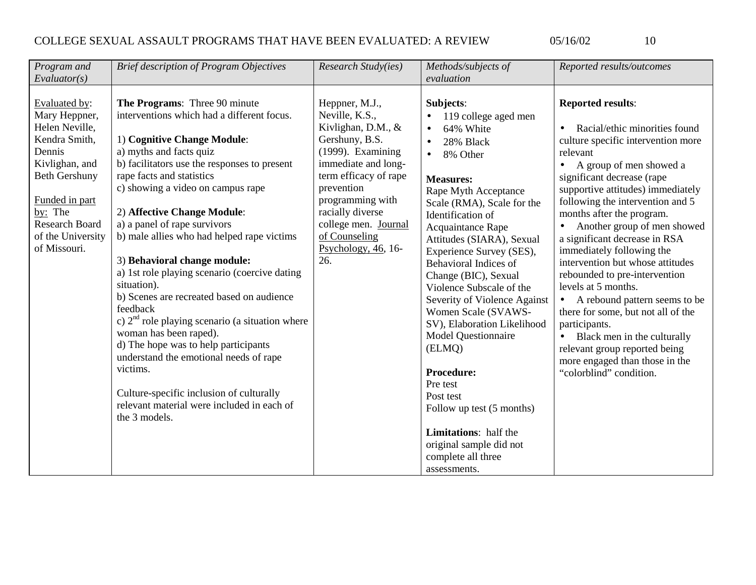|  | ×<br>× | ۰.<br>٧ |
|--|--------|---------|

| Program and                                                                                                                                                                                                      | <b>Brief description of Program Objectives</b>                                                                                                                                                                                                                                                                                                                                                                                                                                                                                                                                                                                                                                                                                                                                                                        | Research Study(ies)                                                                                                                                                                                                                                                         | Methods/subjects of                                                                                                                                                                                                                                                                                                                                                                                                                                                                                                                                                                                                                                                      | Reported results/outcomes                                                                                                                                                                                                                                                                                                                                                                                                                                                                                                                                                                                                                                                                                              |
|------------------------------------------------------------------------------------------------------------------------------------------------------------------------------------------------------------------|-----------------------------------------------------------------------------------------------------------------------------------------------------------------------------------------------------------------------------------------------------------------------------------------------------------------------------------------------------------------------------------------------------------------------------------------------------------------------------------------------------------------------------------------------------------------------------------------------------------------------------------------------------------------------------------------------------------------------------------------------------------------------------------------------------------------------|-----------------------------------------------------------------------------------------------------------------------------------------------------------------------------------------------------------------------------------------------------------------------------|--------------------------------------------------------------------------------------------------------------------------------------------------------------------------------------------------------------------------------------------------------------------------------------------------------------------------------------------------------------------------------------------------------------------------------------------------------------------------------------------------------------------------------------------------------------------------------------------------------------------------------------------------------------------------|------------------------------------------------------------------------------------------------------------------------------------------------------------------------------------------------------------------------------------------------------------------------------------------------------------------------------------------------------------------------------------------------------------------------------------------------------------------------------------------------------------------------------------------------------------------------------------------------------------------------------------------------------------------------------------------------------------------------|
| Evaluator(s)                                                                                                                                                                                                     |                                                                                                                                                                                                                                                                                                                                                                                                                                                                                                                                                                                                                                                                                                                                                                                                                       |                                                                                                                                                                                                                                                                             | evaluation                                                                                                                                                                                                                                                                                                                                                                                                                                                                                                                                                                                                                                                               |                                                                                                                                                                                                                                                                                                                                                                                                                                                                                                                                                                                                                                                                                                                        |
| Evaluated by:<br>Mary Heppner,<br>Helen Neville,<br>Kendra Smith,<br>Dennis<br>Kivlighan, and<br><b>Beth Gershuny</b><br>Funded in part<br>by: The<br><b>Research Board</b><br>of the University<br>of Missouri. | The Programs: Three 90 minute<br>interventions which had a different focus.<br>1) Cognitive Change Module:<br>a) myths and facts quiz<br>b) facilitators use the responses to present<br>rape facts and statistics<br>c) showing a video on campus rape<br>2) Affective Change Module:<br>a) a panel of rape survivors<br>b) male allies who had helped rape victims<br>3) Behavioral change module:<br>a) 1st role playing scenario (coercive dating<br>situation).<br>b) Scenes are recreated based on audience<br>feedback<br>c) $2nd$ role playing scenario (a situation where<br>woman has been raped).<br>d) The hope was to help participants<br>understand the emotional needs of rape<br>victims.<br>Culture-specific inclusion of culturally<br>relevant material were included in each of<br>the 3 models. | Heppner, M.J.,<br>Neville, K.S.,<br>Kivlighan, D.M., &<br>Gershuny, B.S.<br>(1999). Examining<br>immediate and long-<br>term efficacy of rape<br>prevention<br>programming with<br>racially diverse<br>college men. Journal<br>of Counseling<br>Psychology, $46, 16$<br>26. | Subjects:<br>119 college aged men<br>$\bullet$<br>64% White<br>$\bullet$<br>28% Black<br>$\bullet$<br>8% Other<br>$\bullet$<br><b>Measures:</b><br>Rape Myth Acceptance<br>Scale (RMA), Scale for the<br>Identification of<br>Acquaintance Rape<br>Attitudes (SIARA), Sexual<br>Experience Survey (SES),<br>Behavioral Indices of<br>Change (BIC), Sexual<br>Violence Subscale of the<br>Severity of Violence Against<br>Women Scale (SVAWS-<br>SV), Elaboration Likelihood<br><b>Model Questionnaire</b><br>(ELMQ)<br><b>Procedure:</b><br>Pre test<br>Post test<br>Follow up test (5 months)<br>Limitations: half the<br>original sample did not<br>complete all three | <b>Reported results:</b><br>Racial/ethic minorities found<br>$\bullet$<br>culture specific intervention more<br>relevant<br>A group of men showed a<br>$\bullet$<br>significant decrease (rape<br>supportive attitudes) immediately<br>following the intervention and 5<br>months after the program.<br>Another group of men showed<br>a significant decrease in RSA<br>immediately following the<br>intervention but whose attitudes<br>rebounded to pre-intervention<br>levels at 5 months.<br>• A rebound pattern seems to be<br>there for some, but not all of the<br>participants.<br>• Black men in the culturally<br>relevant group reported being<br>more engaged than those in the<br>"colorblind" condition. |
|                                                                                                                                                                                                                  |                                                                                                                                                                                                                                                                                                                                                                                                                                                                                                                                                                                                                                                                                                                                                                                                                       |                                                                                                                                                                                                                                                                             | assessments.                                                                                                                                                                                                                                                                                                                                                                                                                                                                                                                                                                                                                                                             |                                                                                                                                                                                                                                                                                                                                                                                                                                                                                                                                                                                                                                                                                                                        |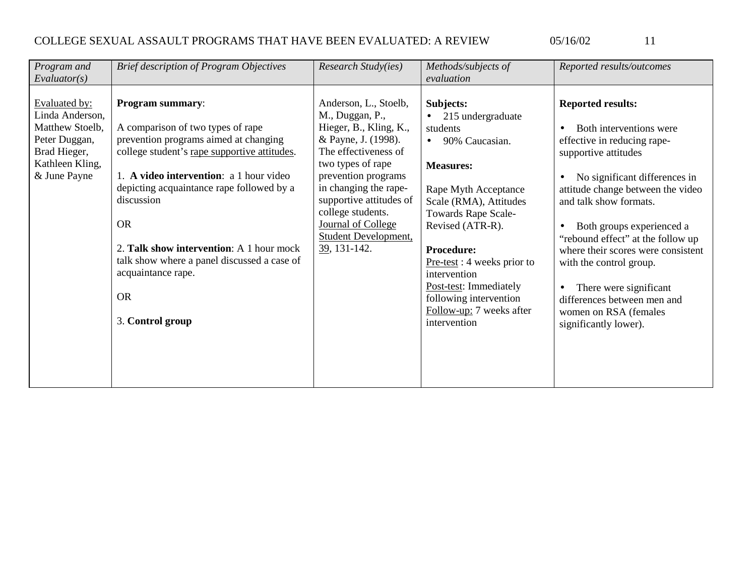11

| Program and     | <b>Brief description of Program Objectives</b> | Research Study(ies)         | Methods/subjects of            | Reported results/outcomes          |
|-----------------|------------------------------------------------|-----------------------------|--------------------------------|------------------------------------|
| Evaluator(s)    |                                                |                             | evaluation                     |                                    |
|                 |                                                |                             |                                |                                    |
| Evaluated by:   | <b>Program summary:</b>                        | Anderson, L., Stoelb,       | Subjects:                      | <b>Reported results:</b>           |
| Linda Anderson, |                                                | M., Duggan, P.,             | 215 undergraduate<br>$\bullet$ |                                    |
| Matthew Stoelb, | A comparison of two types of rape              | Hieger, B., Kling, K.,      | students                       | Both interventions were            |
| Peter Duggan,   | prevention programs aimed at changing          | & Payne, J. (1998).         | 90% Caucasian.                 | effective in reducing rape-        |
| Brad Hieger,    | college student's rape supportive attitudes.   | The effectiveness of        |                                | supportive attitudes               |
| Kathleen Kling, |                                                | two types of rape           | <b>Measures:</b>               |                                    |
| & June Payne    | 1. A video intervention: a 1 hour video        | prevention programs         |                                | No significant differences in      |
|                 | depicting acquaintance rape followed by a      | in changing the rape-       | Rape Myth Acceptance           | attitude change between the video  |
|                 | discussion                                     | supportive attitudes of     | Scale (RMA), Attitudes         | and talk show formats.             |
|                 |                                                | college students.           | <b>Towards Rape Scale-</b>     |                                    |
|                 | <b>OR</b>                                      | Journal of College          | Revised (ATR-R).               | Both groups experienced a          |
|                 |                                                | <b>Student Development,</b> |                                | "rebound effect" at the follow up  |
|                 | 2. Talk show intervention: A 1 hour mock       | $39, 131-142.$              | <b>Procedure:</b>              | where their scores were consistent |
|                 | talk show where a panel discussed a case of    |                             | $Pre-test: 4 weeks prior to$   | with the control group.            |
|                 | acquaintance rape.                             |                             | intervention                   |                                    |
|                 |                                                |                             | Post-test: Immediately         | There were significant             |
|                 | <b>OR</b>                                      |                             | following intervention         | differences between men and        |
|                 |                                                |                             | Follow-up: 7 weeks after       | women on RSA (females              |
|                 | 3. Control group                               |                             | intervention                   | significantly lower).              |
|                 |                                                |                             |                                |                                    |
|                 |                                                |                             |                                |                                    |
|                 |                                                |                             |                                |                                    |
|                 |                                                |                             |                                |                                    |
|                 |                                                |                             |                                |                                    |